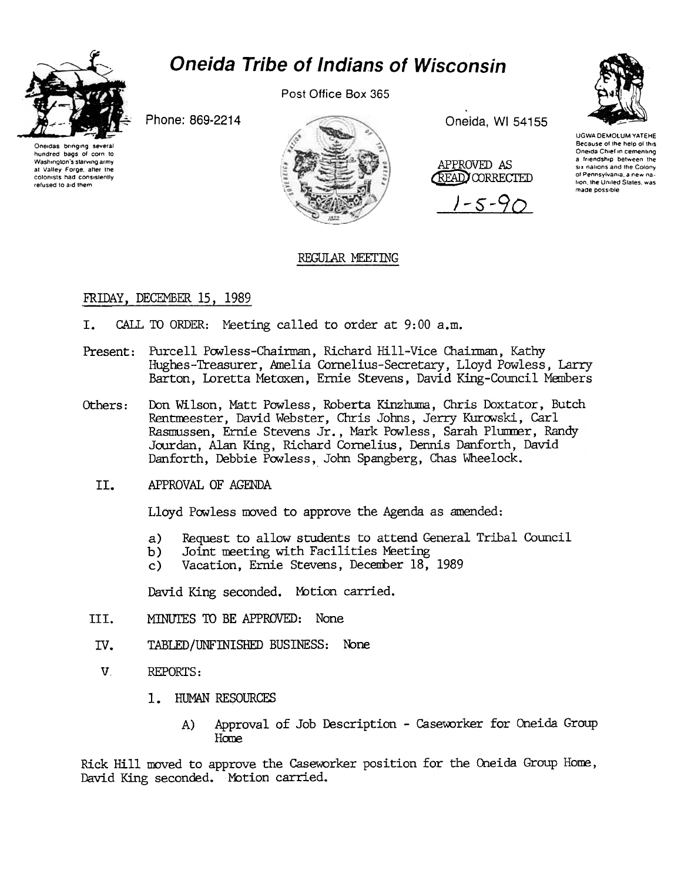

# **Oneida Tribe of Indians of Wisconsin**

Post Office Box 365



Phone: 869-2214

Oneidas bringing severa hundred bags of corn to Washington's starving army at Valley Forge, after the colonists had consistently refused to aid them



Oneida, WI 54155

APPROVED AS **READ CORRECTED** 

 $-5 - 90$ 



## REGULAR MEETING

# FRIDAY, DECEMBER 15, 1989

- CALL TO ORDER: Meeting called to order at 9:00 a.m.  $T_{\star}$
- Present: Purcell Powless-Chairman, Richard Hill-Vice Chairman, Kathy Hughes-Treasurer, Amelia Cornelius-Secretary, Lloyd Powless, Larry Barton, Loretta Metoxen, Ernie Stevens, David King-Council Members
- Don Wilson, Matt Powless, Roberta Kinzhuma, Chris Doxtator, Butch Others: Rentmeester, David Webster, Chris Johns, Jerry Kurowski, Carl Rasmussen, Ernie Stevens Jr., Mark Powless, Sarah Plummer, Randy Jourdan, Alan King, Richard Cornelius, Dennis Danforth, David Danforth, Debbie Powless, John Spangberg, Chas Wheelock.
	- II. APPROVAL OF AGENDA

Lloyd Powless moved to approve the Agenda as amended:

- Request to allow students to attend General Tribal Council  $a)$
- Joint meeting with Facilities Meeting b)
- Vacation, Ernie Stevens, December 18, 1989  $c)$

David King seconded. Motion carried.

- III. MINUTES TO BE APPROVED: None
- IV. TABLED/UNFINISHED BUSINESS: None
- $V_{\alpha}$ REPORTS:
	- 1. HUMAN RESOURCES
		- Approval of Job Description Caseworker for Oneida Group A) Home

Rick Hill moved to approve the Caseworker position for the Oneida Group Home, David King seconded. Motion carried.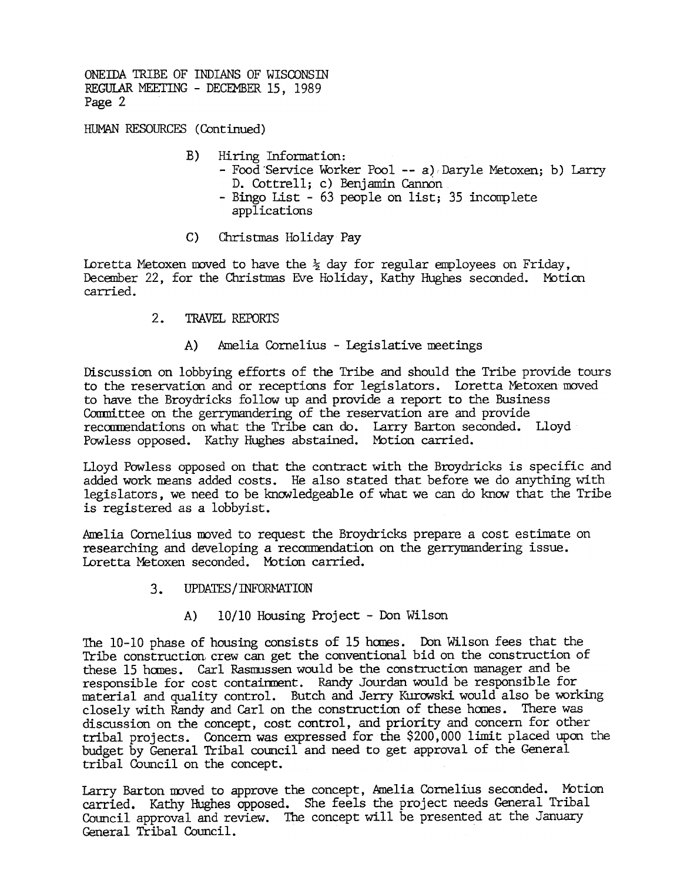ONEIDA TRIBE OF INDIANS OF WISCONSIN REGULAR MEETING - DECEMBER 15, 1989 Page 2

HUMAN RESOURCES (Continued)

- B) Hiring Information: -Food'Service Worker Pool --a) Daryle Metoxen; b) Larry D. Cottrell; c) Benjamin Cannon -Bingo List -63 people on list; 35 incomplete applications
- C) Christmas Holiday Pay

Loretta Metoxen moved to have the  $\frac{1}{2}$  day for regular employees on Friday, December 22, for the Christmas Eve Holiday, Kathy Hughes seconded. Motion carried.

- 2. TRAVEL REPORTS
	- A) Amelia Cornelius -Legislative reetings

Discussion on lobbying efforts of the Tribe and should the Tribe provide tours to the reservation and or receptions for legislators. Loretta Metoxen moved to have the Broydricks follow up and provide a report to the Business Committee on the gerrymandering of the reservation are and provide recommendations on what the Tribe can do. Larry Barton seconded. Lloyd Powless opposed. Kathy Hughes abstained. Motion carried.

Lloyd Powless opposed on that the contract with the Broydricks is specific and added work means added costs. He also stated that before we do anything with legislators, we need to be knowledgeable of what we can do know that the Tribe is registered as a lobbyist.

Amelia Cornelius moved to request the Broydricks prepare a cost estimate on researching and developing a recommendation on the gerrymandering issue. Loretta Metoxen seconded. MOtion carried.

- $3.$ UPDATES / INFORMATION
	- A) 10/10 Housing Project Don Wilson

The  $10-10$  phase of housing consists of 15 homes. Don Wilson fees that the Tribe construction, crew can get the conventional bid on the construction of these 15 hanes. Carl Rasnnssen would be the construction manager and be responsible for cost containment. Randy Jourdan would be responsible for material and quality control. Butch and Jerry Kurowski would also be working closely with Randy and Carlon the construction of these homes. There was discussion on the concept, cost control, and priority and concern for other tribal projects. Concern was expressed for the \$200,000 limit placed upon the budget by General Tribal council and need to get approval of the General tribal Council on the concept.

Larry Barton moved to approve the concept, Amelia Cornelius seconded. Motion carried. Kathy Hughes opposed. She feels the project needs General Tribal Cotmcil approval and review. The concept will be presented at the January General Tribal Council.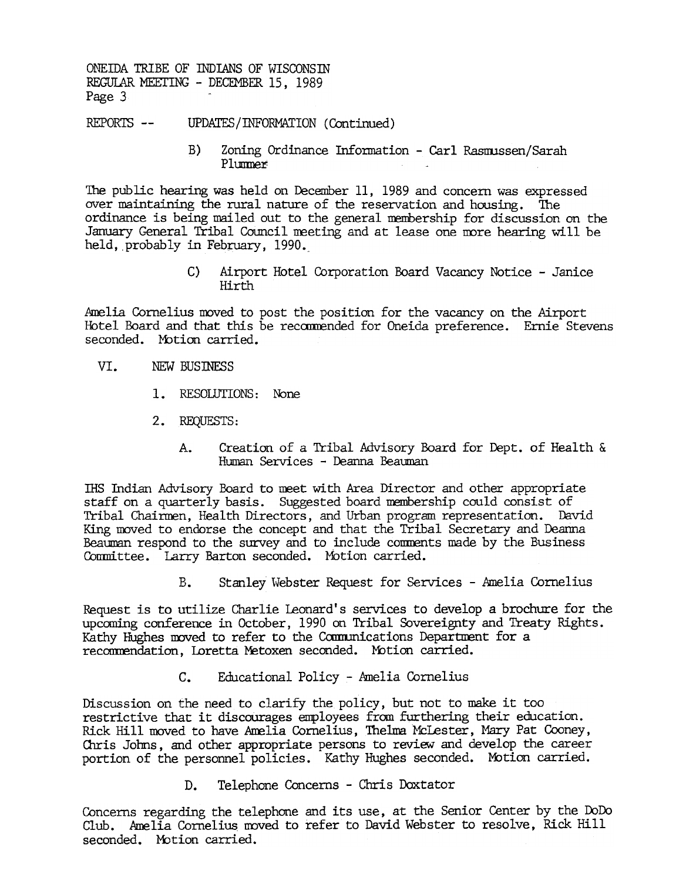ONEIDA TRIBE OF INDIANS OF WISCONSIN REGUIAR MEErING -DECEMBER 15, 1989 Page 3

REPORTS -- UPDATES/INFORMATION (Continued)

B) Zoning Ordinance Information - Carl Rasmussen/Sarah Plunmer

The public hearing was held on December 11, 1989 and concern was expressed over maintaining the rural nature of the reservation and housing. The ordinance is being mailed out to the general membership for discussion on the January General Tribal Council meeting and at lease one more hearing will be held, probably in February, 1990.

> C) Airport Hotel Corporation Board Vacancy Notice -Janice Hirth

Amelia Cornelius moved to post the position for the vacancy on the Airport Hotel Board and that this be recamended for Oneida preference. Ernie Stevens seconded. Motion carried.

- VT. NEW BUSINESS
	- 1. RESOLUTIONS: None
	- 2. REQUESTS:
		- Creation of a Tribal Advisory Board for Dept. of Health & A. Human Services - Deanna Beauman

IHS Indian Advisory Board to meet with Area Director and other appropriate staff on a quarterly basis. Suggested board membership could consist of Tribal Chaimen, Health Directors, and Urban program representation. David King moved to endorse the concept and that the Tribal Secretary and Deanna Beauman respond to the survey and to include comments made by the Business Conmittee. Larry Barton seconded. Motion carried.

> Stanley Webster Request for Services -Amelia Cornelius  $B_{-}$

upcoming conference in October, 1990 on Tribal Sovereignty and Treaty Rights. Kathy Hughes moved to refer to the Communications Department for a recommendation, Loretta Metoxen seconded. Motion carried.

c. Educational Policy -Amelia Cornelius

Request is to utilize Charlie Leonard's services to develop a brochure for the uponomig conference in October, 1990 on Tribal Sovereignty and Treaty Rights.<br>Kathy Hughes moved to refer to the Communications Department for Discussion on the need to clarify the policy, but not to make it too restrictive that it discourages employees from furthering their education. Rick Hill moved to have Amelia Cornelius, Thelma McLester, Mary Pat Cooney, Chris Johns, and other appropriate persons to review and develop the career portion of the personnel policies. Kathy Hughes seconded. Mbtion carried.

D. Telephone Concerns - Chris Doxtator

Concerns regarding the telephone and its use, at the Senior Center by the DoDo Club. Amelia Cornelius moved to refer to David Webster to resolve, Rick Hill seconded. Motion carried.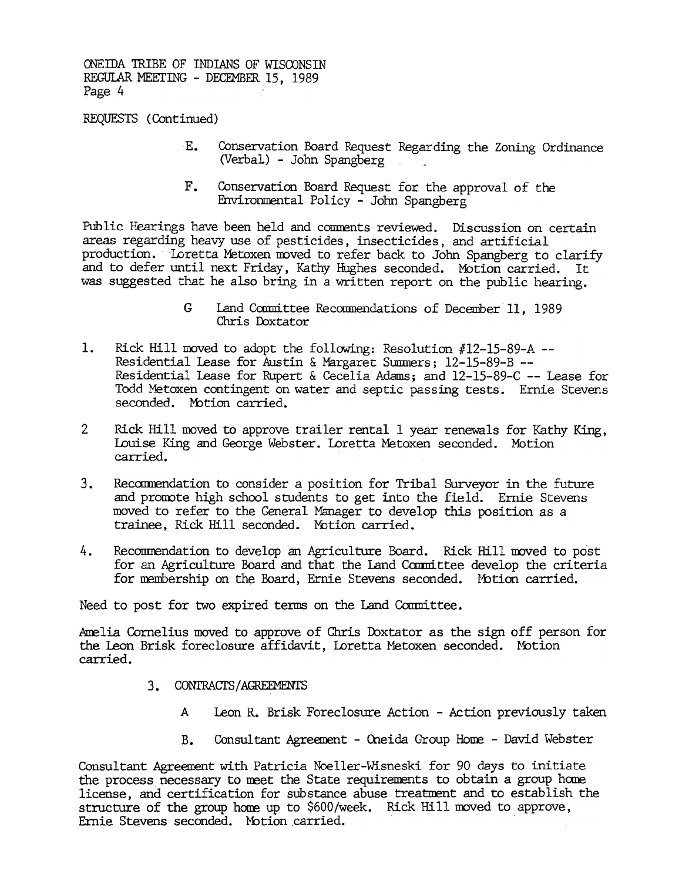ONEIDA TRIBE OF INDIANS OF WISCONSIN REGULAR MEETING - DECEMBER 15, 1989 Page 4

REQUESTS (Continued)

- $E_{\bullet}$ Conservation Board Request Regarding the Zoning Ordinance (Verbal.) -John Spangberg
- Environmental Policy John Spangberg

Public Hearings have been held and corments reviewed. Discussion on certain areas regarding heavy use of pesticides, insecticides, and artificial production. Loretta Metoxen moved to refer back to John Spangberg to clarify and to defer until next Friday, Kathy Hughes seconded. Motion carried. It was suggested that he also bring in a written report on the public hearing.

- G Land Committee Recommendations of December 11, 1989 Chris Doxtator
- Rick Hill moved to adopt the following: Resolution  $#12-15-89-A$  --Residential Lease for Austin & Margaret Summers; 12-15-89-B --Residential lease for Rupert & Cecelia Adams; and 12-IS-89-C --Lease for Todd Metoxen contingent on water and septic passing tests. Ernie Stevens seconded. Motion carried.
- 2 Rick Hill moved to approve trailer rental 1 year renewals for Kathy King, Louise King and George Webster. Loretta Metoxen seconded. Motioncarried.
- and promote high school students to get into the field. Ernie Stevens moved to refer to the General Manager to develop this position as a trainee, Rick Hill seconded. Motion carried.
- 4. Recommendation to develop an Agriculture Board. Rick Hill moved to post for an Agriculture Board and that the Land Committee develop the criteria for membership on the Board, Ernie Stevens seconded. Motion carried.

Need to post for two expired terms on the Land Committee.

Amelia Cornelius moved to approve of Chris Doxtator as the sign off person for the Leon Brisk foreclosure affidavit, Loretta Metoxen seconded. Motion

- - A Leon R. Brisk Foreclosure Action -Action previously taken
	- B. Consultant Agreement Oneida Group Home David Webster

F. Conservation Board Scapes for the approval of the model and conservation Board Conservation on the approximation production. Increase a basis of the approximation and to define unit been related by restricted and the s 3. Recommendation to consider a position for Tribal Surveyor in the future moved to refer to the General Menager to develop this poirtion as a range of the Consider Correlaction for the Consideration for exception for the 3. CONTRACTS/AGREEMENTS<br>
A Leon R. Brisk For<br>
B. Consultant Agreem<br>
Consultant Agreement with Patricia No<br>
the process necessary to meet the Sta<br>
license, and certification for substa<br>
structure of the group home up to \$60 Consultant Agreenent with Patricia Noeller-Wisneski for 90 days to initiate the process necessary to meet the State requirements to obtain a group home. license, and certification for substance abuse treatment and to establish the structure of the group home up to \$600/week. Rick Hill moved to approve, Ernie Stevens seconded. Motion carried.